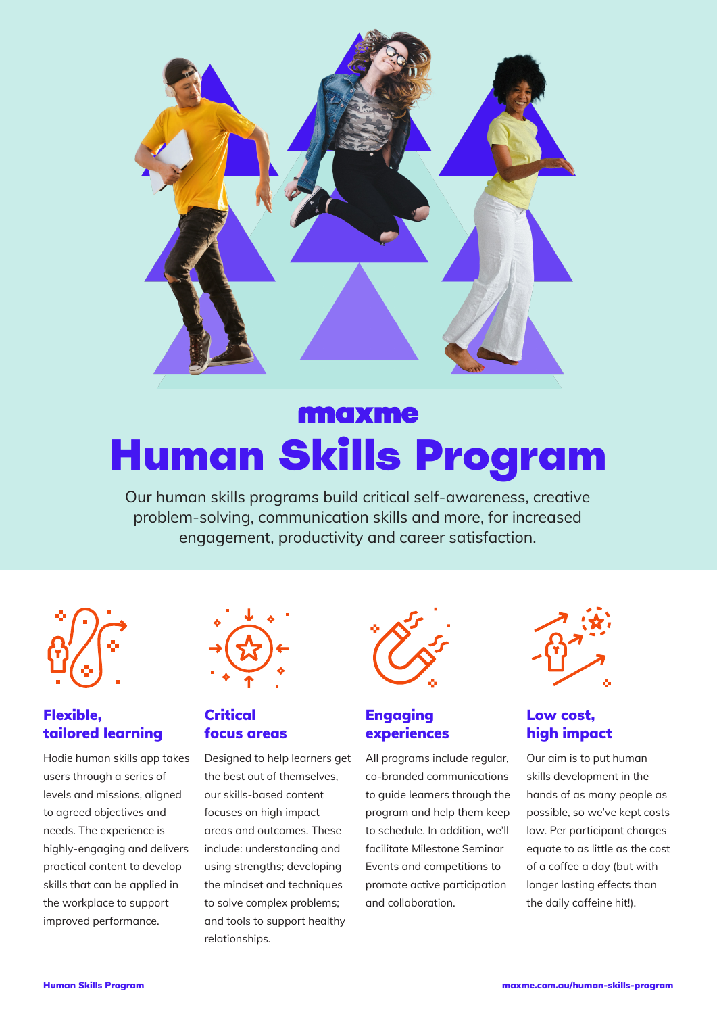

# maxme Human Skills Program

Our human skills programs build critical self-awareness, creative problem-solving, communication skills and more, for increased engagement, productivity and career satisfaction.



## Flexible, tailored learning

Hodie human skills app takes users through a series of levels and missions, aligned to agreed objectives and needs. The experience is highly-engaging and delivers practical content to develop skills that can be applied in the workplace to support improved performance.

| ₹.<br>51 |  |
|----------|--|
|          |  |
|          |  |

## Critical focus areas

Designed to help learners get the best out of themselves, our skills-based content focuses on high impact areas and outcomes. These include: understanding and using strengths; developing the mindset and techniques to solve complex problems; and tools to support healthy relationships.



## Engaging experiences

All programs include regular, co-branded communications to guide learners through the program and help them keep to schedule. In addition, we'll facilitate Milestone Seminar Events and competitions to promote active participation and collaboration.



## Low cost, high impact

Our aim is to put human skills development in the hands of as many people as possible, so we've kept costs low. Per participant charges equate to as little as the cost of a coffee a day (but with longer lasting effects than the daily caffeine hit!).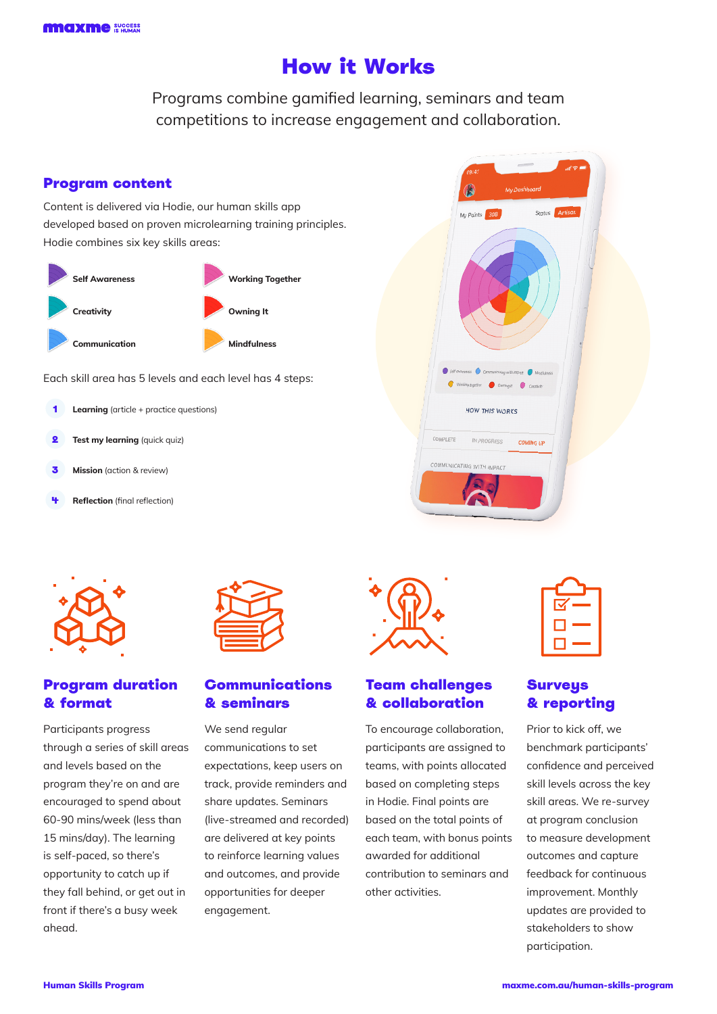## How it Works

Programs combine gamified learning, seminars and team competitions to increase engagement and collaboration.

## Program content

Content is delivered via Hodie, our human skills app developed based on proven microlearning training principles. Hodie combines six key skills areas:



Each skill area has 5 levels and each level has 4 steps:

- **Learning** (article + practice questions)
- **2** Test my learning (quick quiz)
- **Mission** (action & review)
- **Reflection** (final reflection)





## Program duration & format

Participants progress through a series of skill areas and levels based on the program they're on and are encouraged to spend about 60-90 mins/week (less than 15 mins/day). The learning is self-paced, so there's opportunity to catch up if they fall behind, or get out in front if there's a busy week ahead.



## Communications & seminars

We send regular communications to set expectations, keep users on track, provide reminders and share updates. Seminars (live-streamed and recorded) are delivered at key points to reinforce learning values and outcomes, and provide opportunities for deeper engagement.



### Team challenges & collaboration

To encourage collaboration, participants are assigned to teams, with points allocated based on completing steps in Hodie. Final points are based on the total points of each team, with bonus points awarded for additional contribution to seminars and other activities.

## **Surveus** & reporting

Prior to kick off, we benchmark participants' confidence and perceived skill levels across the key skill areas. We re-survey at program conclusion to measure development outcomes and capture feedback for continuous improvement. Monthly updates are provided to stakeholders to show participation.